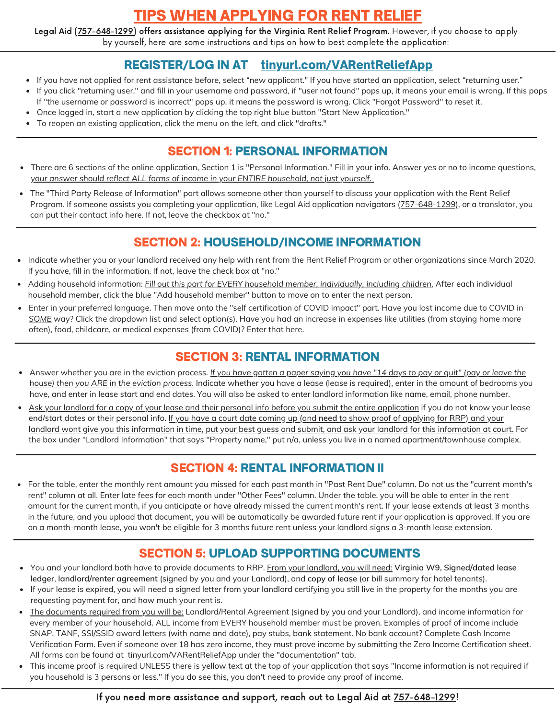# TIPS WHEN APPLYING FOR RENT RELIEF

Legal Aid (<u>757-648-1299</u>) offers assistance applying for the Virginia Rent Relief Program. However, if you choose to apply by yourself, here are some instructions and tips on how to best complete the application:

## REGISTER/LOG IN AT tinyurl.com/VARentReliefApp

- If you have not applied for rent assistance before, select "new applicant." If you have started an application, select "returning user."  $\bullet$
- If you click "returning user," and fill in your username and password, if "user not found" pops up, it means your email is wrong. If this pops If "the username or password is incorrect" pops up, it means the password is wrong. Click "Forgot Password" to reset it.
- Once logged in, start a new application by clicking the top right blue button "Start New Application."
- To reopen an existing application, click the menu on the left, and click "drafts."

### SECTION 1: PERSONAL INFORMATION

- There are 6 sections of the online application, Section 1 is "Personal Information." Fill in your info. Answer yes or no to income questions, *your answer should reflect ALL forms of income in your ENTIRE household, not just yourself.*
- The "Third Party Release of Information" part allows someone other than yourself to discuss your application with the Rent Relief Program. If someone assists you completing your application, like Legal Aid application navigators (757-648-1299), or a translator, you can put their contact info here. If not, leave the checkbox at "no."

## SECTION 2: HOUSEHOLD/INCOME INFORMATION

- Indicate whether you or your landlord received any help with rent from the Rent Relief Program or other organizations since March 2020. If you have, fill in the information. If not, leave the check box at "no."
- Adding household information: *Fill out this part for EVERY household member, individually, including children.* After each individual household member, click the blue "Add household member" button to move on to enter the next person.
- Enter in your preferred language. Then move onto the "self certification of COVID impact" part. Have you lost income due to COVID in *SOME* way? Click the dropdown list and select option(s). Have you had an increase in expenses like utilities (from staying home more often), food, childcare, or medical expenses (from COVID)? Enter that here.

### SECTION 3: RENTAL INFORMATION

- Answer whether you are in the eviction process. If you have gotten a paper saying you have "14 days to pay or quit" (pay or leave the *house) then you ARE in the eviction process.* Indicate whether you have a lease (lease is required), enter in the amount of bedrooms you have, and enter in lease start and end dates. You will also be asked to enter landlord information like name, email, phone number.
- Ask your landlord for a copy of your lease and their personal info before you submit the entire application if you do not know your lease end/start dates or their personal info. If you have a court date coming up (and **need** to show proof of applying for RRP) and your landlord wont give you this information in time, put your best guess and submit, and ask your landlord for this information at court. For the box under "Landlord Information" that says "Property name," put n/a, unless you live in a named apartment/townhouse complex.

## SECTION 4: RENTAL INFORMATION II

For the table, enter the monthly rent amount you missed for each past month in "Past Rent Due" column. Do not us the "current month's rent" column at all. Enter late fees for each month under "Other Fees" column. Under the table, you will be able to enter in the rent amount for the current month, if you anticipate or have already missed the current month's rent. If your lease extends at least 3 months in the future, and you upload that document, you will be automatically be awarded future rent if your application is approved. If you are on a month-month lease, you won't be eligible for 3 months future rent unless your landlord signs a 3-month lease extension.

## SECTION 5: UPLOAD SUPPORTING DOCUMENTS

- You and your landlord both have to provide documents to RRP. From your landlord, you will need: **Virginia W9, Signed/dated lease ledger**, **landlord/renter agreement** (signed by you and your Landlord), and **copy of lease** (or bill summary for hotel tenants).
- If your lease is expired, you will need a signed letter from your landlord certifying you still live in the property for the months you are requesting payment for, and how much your rent is.
- The documents required from you will be: Landlord/Rental Agreement (signed by you and your Landlord), and income information for every member of your household. ALL income from EVERY household member must be proven. Examples of proof of income include SNAP, TANF, SSI/SSID award letters (with name and date), pay stubs, bank statement. No bank account? Complete Cash Income Verification Form. Even if someone over 18 has zero income, they must prove income by submitting the Zero Income Certification sheet. All forms can be found at tinyurl.com/VARentReliefApp under the "documentation" tab.
- This income proof is required UNLESS there is yellow text at the top of your application that says "Income information is not required if you household is 3 persons or less." If you do see this, you don't need to provide any proof of income.